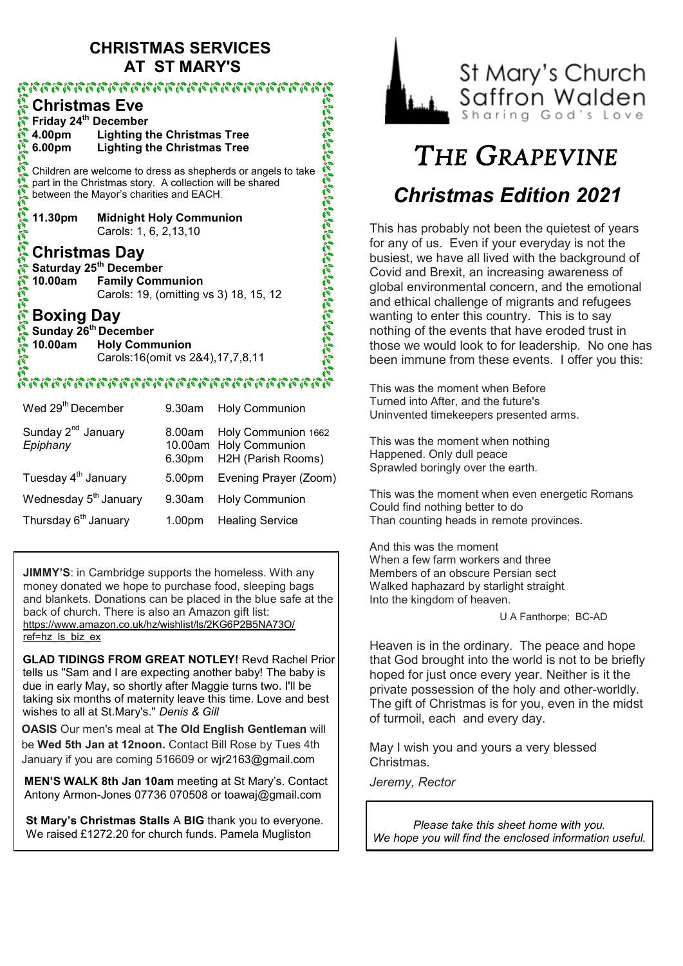# **CHRISTMAS SERVICES AT ST MARY'S**

## **Christmas Eve Friday 24th December 4.00pm Lighting the Christmas Tree 6.00pm Lighting the Christmas Tree** Children are welcome to dress as shepherds or angels to take part in the Christmas story. A collection will be shared between the Mayor's charities and EACH. **11.30pm Midnight Holy Communion**  Carols: 1, 6, 2,13,10

**Christmas Day Saturday 25th December 10.00am Family Communion**  Carols: 19, (omitting vs 3) 18, 15, 12

# **Boxing Day**

**Sunday 26th December 10.00am Holy Communion** Carols:16(omit vs 2&4),17,7,8,11

### รถรองการการการการการการการก

| Wed 29 <sup>th</sup> December              | 9.30am             | <b>Holy Communion</b>                                                             |
|--------------------------------------------|--------------------|-----------------------------------------------------------------------------------|
| Sunday 2 <sup>nd</sup> January<br>Epiphany |                    | 8.00am Holy Communion 1662<br>10.00am Holy Communion<br>6.30pm H2H (Parish Rooms) |
| Tuesday 4 <sup>th</sup> January            | 5.00 <sub>pm</sub> | Evening Prayer (Zoom)                                                             |
| Wednesday 5 <sup>th</sup> January          | $9.30$ am          | <b>Holy Communion</b>                                                             |
| Thursday 6 <sup>th</sup> January           | 1.00 <sub>pm</sub> | <b>Healing Service</b>                                                            |
|                                            |                    |                                                                                   |

**JIMMY'S:** in Cambridge supports the homeless. With any money donated we hope to purchase food, sleeping bags and blankets. Donations can be placed in the blue safe at the back of church. There is also an Amazon gift list: [https://www.amazon.co.uk/hz/wishlist/ls/2KG6P2B5NA73O/](https://www.amazon.co.uk/hz/wishlist/ls/2KG6P2B5NA73O/ref=hz_ls_biz_ex)  $ref=hz$  is biz ex

**GLAD TIDINGS FROM GREAT NOTLEY!** Revd Rachel Prior tells us "Sam and I are expecting another baby! The baby is due in early May, so shortly after Maggie turns two. I'll be taking six months of maternity leave this time. Love and best wishes to all at St.Mary's." *Denis & Gill*

**OASIS** Our men's meal at **The Old English Gentleman** will be **Wed 5th Jan at 12noon.** Contact Bill Rose by Tues 4th January if you are coming 516609 or [wjr2163@gmail.com](mailto:wjr2163@gmail.com)

**MEN'S WALK 8th Jan 10am** meeting at St Mary's. Contact Antony Armon-Jones 07736 070508 or toawaj@gmail.com

**St Mary's Christmas Stalls** A **BIG** thank you to everyone. We raised £1272.20 for church funds. Pamela Mugliston



# *THE GRAPEVINE Christmas Edition 2021*

This has probably not been the quietest of years for any of us. Even if your everyday is not the busiest, we have all lived with the background of Covid and Brexit, an increasing awareness of global environmental concern, and the emotional and ethical challenge of migrants and refugees wanting to enter this country. This is to say nothing of the events that have eroded trust in those we would look to for leadership. No one has been immune from these events. I offer you this:

This was the moment when Before Turned into After, and the future's Uninvented timekeepers presented arms.

This was the moment when nothing Happened. Only dull peace Sprawled boringly over the earth.

This was the moment when even energetic Romans Could find nothing better to do Than counting heads in remote provinces.

And this was the moment When a few farm workers and three Members of an obscure Persian sect Walked haphazard by starlight straight Into the kingdom of heaven.

U A Fanthorpe; BC-AD

Heaven is in the ordinary. The peace and hope that God brought into the world is not to be briefly hoped for just once every year. Neither is it the private possession of the holy and other-worldly. The gift of Christmas is for you, even in the midst of turmoil, each and every day.

May I wish you and yours a very blessed Christmas.

*Jeremy, Rector*

*Please take this sheet home with you. We hope you will find the enclosed information useful.*